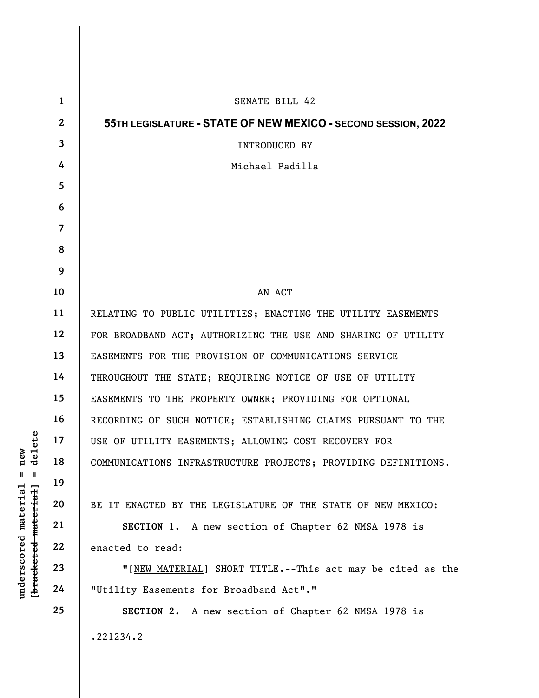|                                                           | $\mathbf{1}$   | SENATE BILL 42                                                 |
|-----------------------------------------------------------|----------------|----------------------------------------------------------------|
| $=$ $\frac{\text{new}}{\text{delete}}$<br><u>material</u> | $\mathbf{2}$   | 55TH LEGISLATURE - STATE OF NEW MEXICO - SECOND SESSION, 2022  |
|                                                           | $\mathbf{3}$   | INTRODUCED BY                                                  |
|                                                           | 4              | Michael Padilla                                                |
|                                                           | 5              |                                                                |
|                                                           | 6              |                                                                |
|                                                           | $\overline{7}$ |                                                                |
|                                                           | 8              |                                                                |
|                                                           | 9              |                                                                |
|                                                           | 10             | AN ACT                                                         |
|                                                           | 11             | RELATING TO PUBLIC UTILITIES; ENACTING THE UTILITY EASEMENTS   |
|                                                           | 12             | FOR BROADBAND ACT; AUTHORIZING THE USE AND SHARING OF UTILITY  |
|                                                           | 13             | EASEMENTS FOR THE PROVISION OF COMMUNICATIONS SERVICE          |
|                                                           | 14             | THROUGHOUT THE STATE; REQUIRING NOTICE OF USE OF UTILITY       |
|                                                           | 15             | EASEMENTS TO THE PROPERTY OWNER; PROVIDING FOR OPTIONAL        |
|                                                           | 16             | RECORDING OF SUCH NOTICE; ESTABLISHING CLAIMS PURSUANT TO THE  |
|                                                           | 17             | USE OF UTILITY EASEMENTS; ALLOWING COST RECOVERY FOR           |
|                                                           | 18             | COMMUNICATIONS INFRASTRUCTURE PROJECTS; PROVIDING DEFINITIONS. |
|                                                           | 19             |                                                                |
|                                                           | 20             | BE IT ENACTED BY THE LEGISLATURE OF THE STATE OF NEW MEXICO:   |
|                                                           | 21             | SECTION 1. A new section of Chapter 62 NMSA 1978 is            |
|                                                           | 22             | enacted to read:                                               |
| [ <del>bracketed material</del> ]<br>underscored          | 23             | "[NEW MATERIAL] SHORT TITLE.--This act may be cited as the     |
|                                                           | 24             | "Utility Easements for Broadband Act"."                        |
|                                                           | 25             | SECTION 2. A new section of Chapter 62 NMSA 1978 is            |
|                                                           |                | .221234.2                                                      |
|                                                           |                |                                                                |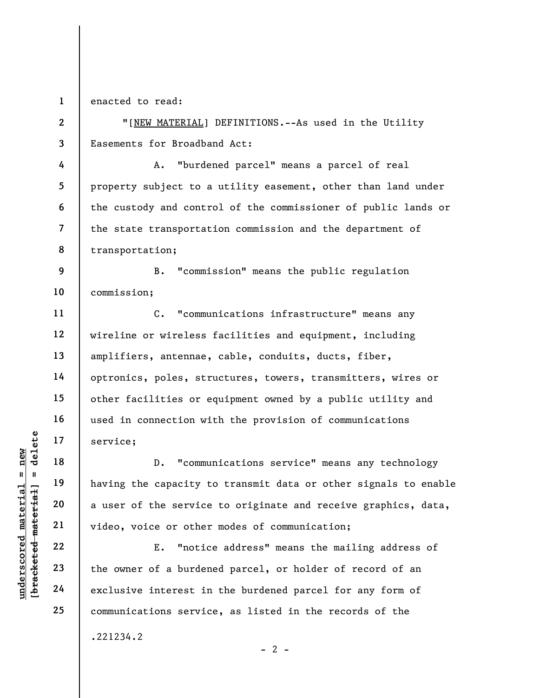1 enacted to read:

2

4

5

6

7

8

11

12

13

14

15

16

17

18

19

20

21

22

23

24

25

3 "[NEW MATERIAL] DEFINITIONS.--As used in the Utility Easements for Broadband Act:

A. "burdened parcel" means a parcel of real property subject to a utility easement, other than land under the custody and control of the commissioner of public lands or the state transportation commission and the department of transportation;

9 10 B. "commission" means the public regulation commission;

C. "communications infrastructure" means any wireline or wireless facilities and equipment, including amplifiers, antennae, cable, conduits, ducts, fiber, optronics, poles, structures, towers, transmitters, wires or other facilities or equipment owned by a public utility and used in connection with the provision of communications service;

understand material material service;<br>  $\begin{array}{c|c|c|c} \text{u} & \text{u} & \text{u} & \text{u} & \text{u} \\ \hline \text{u} & \text{u} & \text{u} & \text{u} & \text{u} \\ \text{u} & \text{u} & \text{u} & \text{u} & \text{u} \\ \text{u} & \text{u} & \text{u} & \text{u} & \text{u} \\ \text{u} & \text{u} & \text{u} & \text{u} & \text{u} \\ \text{u} & \text{u} & \text{u$ D. "communications service" means any technology having the capacity to transmit data or other signals to enable a user of the service to originate and receive graphics, data, video, voice or other modes of communication;

E. "notice address" means the mailing address of the owner of a burdened parcel, or holder of record of an exclusive interest in the burdened parcel for any form of communications service, as listed in the records of the

 $- 2 -$ 

.221234.2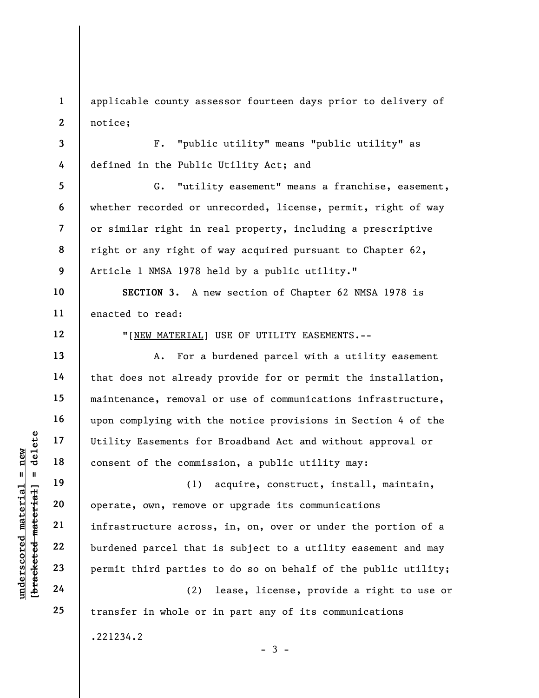1 2 applicable county assessor fourteen days prior to delivery of notice;

3 4 F. "public utility" means "public utility" as defined in the Public Utility Act; and

5 6 7 8 9 G. "utility easement" means a franchise, easement, whether recorded or unrecorded, license, permit, right of way or similar right in real property, including a prescriptive right or any right of way acquired pursuant to Chapter 62, Article 1 NMSA 1978 held by a public utility."

10 11 SECTION 3. A new section of Chapter 62 NMSA 1978 is enacted to read:

"[NEW MATERIAL] USE OF UTILITY EASEMENTS.--

A. For a burdened parcel with a utility easement that does not already provide for or permit the installation, maintenance, removal or use of communications infrastructure, upon complying with the notice provisions in Section 4 of the Utility Easements for Broadband Act and without approval or consent of the commission, a public utility may:

under 17<br>
under 18<br>
under 19<br>
under 19<br>
under 19<br>
20<br>
under 19<br>
21<br>
under 19<br>
22<br>
undered parcel that<br>
23<br>
permit third parties<br>
24<br>
(2)<br>
24<br>
24<br>
24<br>
23<br>
24<br>
24<br>
24<br>
24<br>
20<br>
24<br>
24<br>
24<br>
20<br>
24<br>
24<br>
20<br>
24<br>
20<br>
24<br>
20<br>
24<br> (1) acquire, construct, install, maintain, operate, own, remove or upgrade its communications infrastructure across, in, on, over or under the portion of a burdened parcel that is subject to a utility easement and may permit third parties to do so on behalf of the public utility;

(2) lease, license, provide a right to use or transfer in whole or in part any of its communications

 $-3 -$ 

.221234.2

12

13

14

15

16

17

18

19

20

21

22

23

24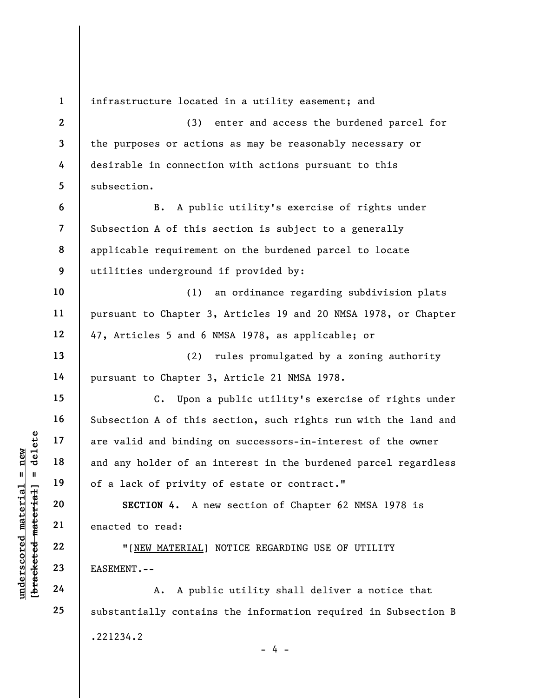underscored material = new [bracketed material] = delete 1 2 3 4 5 6 7 8 9 10 11 12 13 14 15 16 17 18 19 20 21 22 23 24 25 infrastructure located in a utility easement; and (3) enter and access the burdened parcel for the purposes or actions as may be reasonably necessary or desirable in connection with actions pursuant to this subsection. B. A public utility's exercise of rights under Subsection A of this section is subject to a generally applicable requirement on the burdened parcel to locate utilities underground if provided by: (1) an ordinance regarding subdivision plats pursuant to Chapter 3, Articles 19 and 20 NMSA 1978, or Chapter 47, Articles 5 and 6 NMSA 1978, as applicable; or (2) rules promulgated by a zoning authority pursuant to Chapter 3, Article 21 NMSA 1978. C. Upon a public utility's exercise of rights under Subsection A of this section, such rights run with the land and are valid and binding on successors-in-interest of the owner and any holder of an interest in the burdened parcel regardless of a lack of privity of estate or contract." SECTION 4. A new section of Chapter 62 NMSA 1978 is enacted to read: "[NEW MATERIAL] NOTICE REGARDING USE OF UTILITY EASEMENT.-- A. A public utility shall deliver a notice that substantially contains the information required in Subsection B .221234.2

 $- 4 -$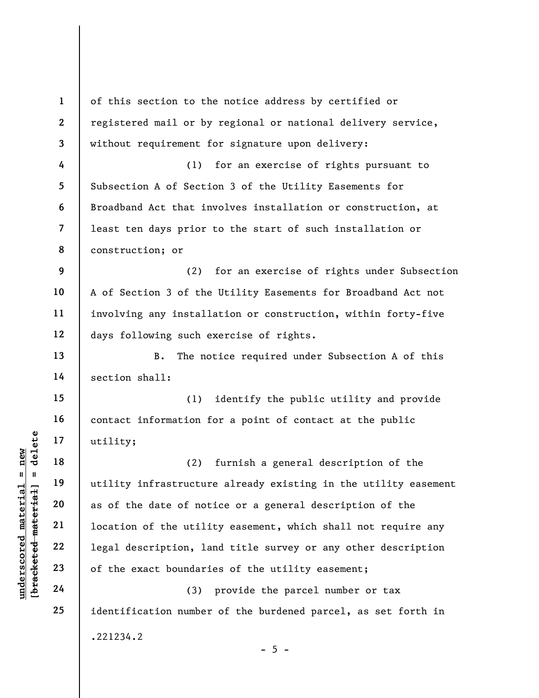underscored material = new [bracketed material] = delete 1 2 3 4 5 6 7 8 9 10 11 12 13 14 15 16 17 18 19 20 21 22 23 24 25 of this section to the notice address by certified or registered mail or by regional or national delivery service, without requirement for signature upon delivery: (1) for an exercise of rights pursuant to Subsection A of Section 3 of the Utility Easements for Broadband Act that involves installation or construction, at least ten days prior to the start of such installation or construction; or (2) for an exercise of rights under Subsection A of Section 3 of the Utility Easements for Broadband Act not involving any installation or construction, within forty-five days following such exercise of rights. B. The notice required under Subsection A of this section shall: (1) identify the public utility and provide contact information for a point of contact at the public utility; (2) furnish a general description of the utility infrastructure already existing in the utility easement as of the date of notice or a general description of the location of the utility easement, which shall not require any legal description, land title survey or any other description of the exact boundaries of the utility easement; (3) provide the parcel number or tax identification number of the burdened parcel, as set forth in .221234.2  $- 5 -$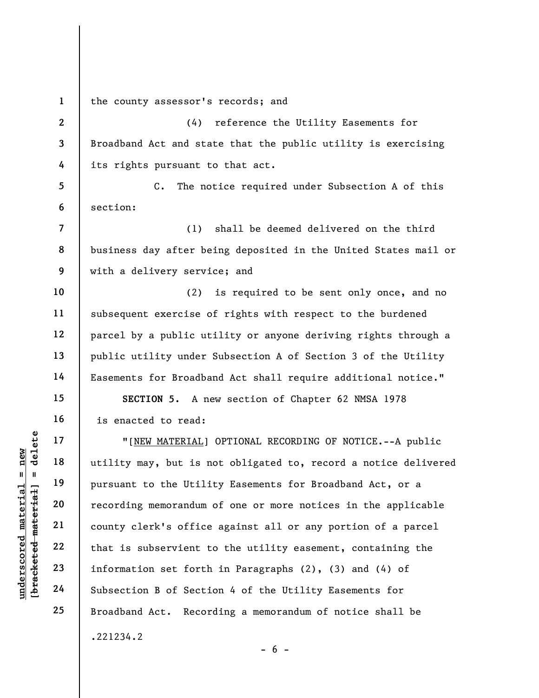1 the county assessor's records; and

2 3 4 (4) reference the Utility Easements for Broadband Act and state that the public utility is exercising its rights pursuant to that act.

5 6 C. The notice required under Subsection A of this section:

(1) shall be deemed delivered on the third business day after being deposited in the United States mail or with a delivery service; and

(2) is required to be sent only once, and no subsequent exercise of rights with respect to the burdened parcel by a public utility or anyone deriving rights through a public utility under Subsection A of Section 3 of the Utility Easements for Broadband Act shall require additional notice."

SECTION 5. A new section of Chapter 62 NMSA 1978 is enacted to read:

underscored material = new [bracketed material] = delete "[NEW MATERIAL] OPTIONAL RECORDING OF NOTICE.--A public utility may, but is not obligated to, record a notice delivered pursuant to the Utility Easements for Broadband Act, or a recording memorandum of one or more notices in the applicable county clerk's office against all or any portion of a parcel that is subservient to the utility easement, containing the information set forth in Paragraphs (2), (3) and (4) of Subsection B of Section 4 of the Utility Easements for Broadband Act. Recording a memorandum of notice shall be .221234.2

7

8

9

10

11

12

13

14

15

16

17

18

19

20

21

22

23

24

25

 $- 6 -$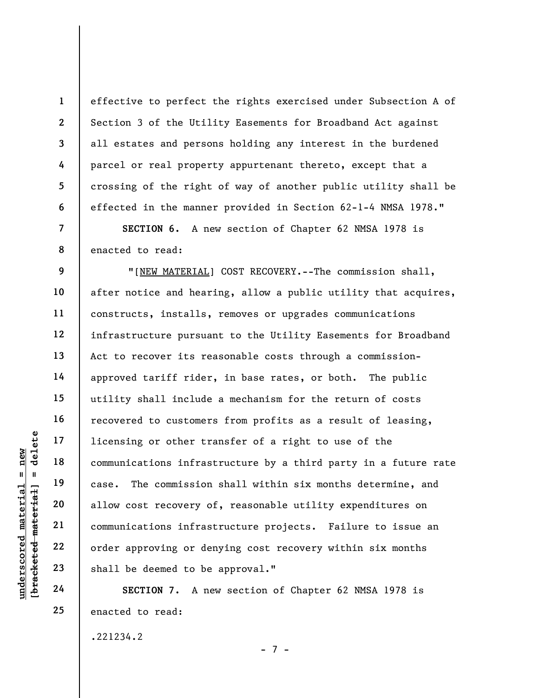effective to perfect the rights exercised under Subsection A of Section 3 of the Utility Easements for Broadband Act against all estates and persons holding any interest in the burdened parcel or real property appurtenant thereto, except that a crossing of the right of way of another public utility shall be effected in the manner provided in Section 62-1-4 NMSA 1978."

SECTION 6. A new section of Chapter 62 NMSA 1978 is enacted to read:

underscored material = new [bracketed material] = delete "[NEW MATERIAL] COST RECOVERY.--The commission shall, after notice and hearing, allow a public utility that acquires, constructs, installs, removes or upgrades communications infrastructure pursuant to the Utility Easements for Broadband Act to recover its reasonable costs through a commissionapproved tariff rider, in base rates, or both. The public utility shall include a mechanism for the return of costs recovered to customers from profits as a result of leasing, licensing or other transfer of a right to use of the communications infrastructure by a third party in a future rate case. The commission shall within six months determine, and allow cost recovery of, reasonable utility expenditures on communications infrastructure projects. Failure to issue an order approving or denying cost recovery within six months shall be deemed to be approval."

SECTION 7. A new section of Chapter 62 NMSA 1978 is enacted to read:

.221234.2

- 7 -

1

2

3

4

5

6

7

8

9

10

11

12

13

14

15

16

17

18

19

20

21

22

23

24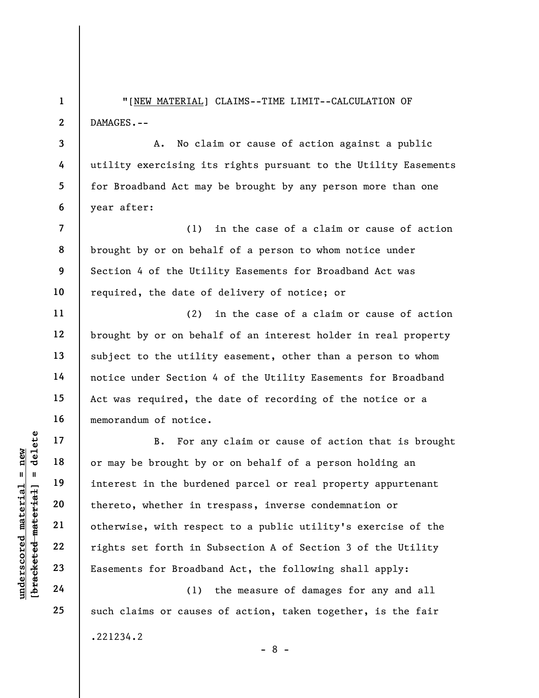"[NEW MATERIAL] CLAIMS--TIME LIMIT--CALCULATION OF DAMAGES.--

A. No claim or cause of action against a public utility exercising its rights pursuant to the Utility Easements for Broadband Act may be brought by any person more than one year after:

(1) in the case of a claim or cause of action brought by or on behalf of a person to whom notice under Section 4 of the Utility Easements for Broadband Act was required, the date of delivery of notice; or

(2) in the case of a claim or cause of action brought by or on behalf of an interest holder in real property subject to the utility easement, other than a person to whom notice under Section 4 of the Utility Easements for Broadband Act was required, the date of recording of the notice or a memorandum of notice.

understand material material of may be brought by<br>
expected in the burder<br>
definition of may be brought by<br>
interest in the burder<br>
thereto, whether in the burder<br>
control of the particle of the particle<br>
control of the pa B. For any claim or cause of action that is brought or may be brought by or on behalf of a person holding an interest in the burdened parcel or real property appurtenant thereto, whether in trespass, inverse condemnation or otherwise, with respect to a public utility's exercise of the rights set forth in Subsection A of Section 3 of the Utility Easements for Broadband Act, the following shall apply:

(1) the measure of damages for any and all such claims or causes of action, taken together, is the fair .221234.2 - 8 -

1

2

3

4

5

6

7

8

9

10

11

12

13

14

15

16

17

18

19

20

21

22

23

24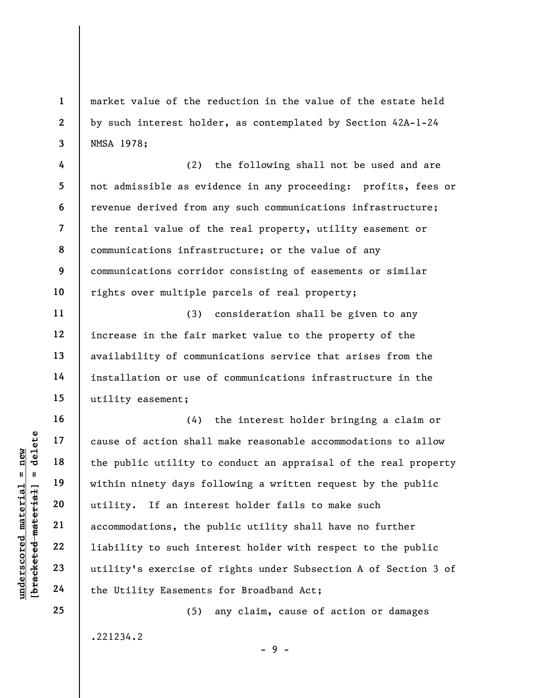market value of the reduction in the value of the estate held by such interest holder, as contemplated by Section 42A-1-24 NMSA 1978;

4 5 6 7 8 9 10 (2) the following shall not be used and are not admissible as evidence in any proceeding: profits, fees or revenue derived from any such communications infrastructure; the rental value of the real property, utility easement or communications infrastructure; or the value of any communications corridor consisting of easements or similar rights over multiple parcels of real property;

(3) consideration shall be given to any increase in the fair market value to the property of the availability of communications service that arises from the installation or use of communications infrastructure in the utility easement;

understand material the public utility to such interesting the public strain inter accommodations, the pair of action shall the public utility to such inter accommodations, the pair of the Utility's exercise of the Utility (4) the interest holder bringing a claim or cause of action shall make reasonable accommodations to allow the public utility to conduct an appraisal of the real property within ninety days following a written request by the public utility. If an interest holder fails to make such accommodations, the public utility shall have no further liability to such interest holder with respect to the public utility's exercise of rights under Subsection A of Section 3 of the Utility Easements for Broadband Act;

.221234.2

(5) any claim, cause of action or damages

 $-9 -$ 

1

2

3

11

12

13

14

15

16

17

18

19

20

21

22

23

24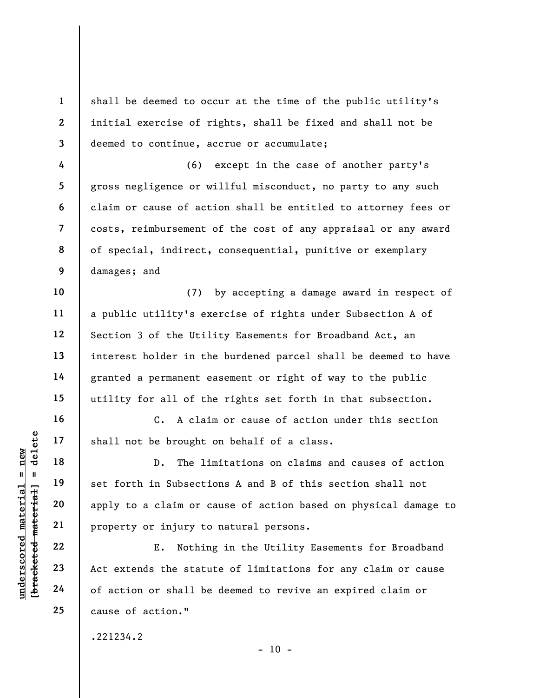shall be deemed to occur at the time of the public utility's initial exercise of rights, shall be fixed and shall not be deemed to continue, accrue or accumulate;

8 9 (6) except in the case of another party's gross negligence or willful misconduct, no party to any such claim or cause of action shall be entitled to attorney fees or costs, reimbursement of the cost of any appraisal or any award of special, indirect, consequential, punitive or exemplary damages; and

(7) by accepting a damage award in respect of a public utility's exercise of rights under Subsection A of Section 3 of the Utility Easements for Broadband Act, an interest holder in the burdened parcel shall be deemed to have granted a permanent easement or right of way to the public utility for all of the rights set forth in that subsection.

C. A claim or cause of action under this section shall not be brought on behalf of a class.

underscored material shall not be brought<br>  $\begin{array}{c|c|c|c|c} \hline \text{u} & \text{u} & \text{u} & \text{u} \\ \hline \text{u} & \text{u} & \text{u} & \text{u} & \text{u} \\ \hline \text{u} & \text{u} & \text{u} & \text{u} & \text{u} \\ \hline \text{u} & \text{u} & \text{u} & \text{u} & \text{u} \\ \hline \text{u} & \text{u} & \text{u} & \text{u} & \text{u} \\ \hline \$ D. The limitations on claims and causes of action set forth in Subsections A and B of this section shall not apply to a claim or cause of action based on physical damage to property or injury to natural persons.

E. Nothing in the Utility Easements for Broadband Act extends the statute of limitations for any claim or cause of action or shall be deemed to revive an expired claim or cause of action."

.221234.2

 $- 10 -$ 

1

2

3

4

5

6

7

10

11

12

13

14

15

16

17

18

19

20

21

22

23

24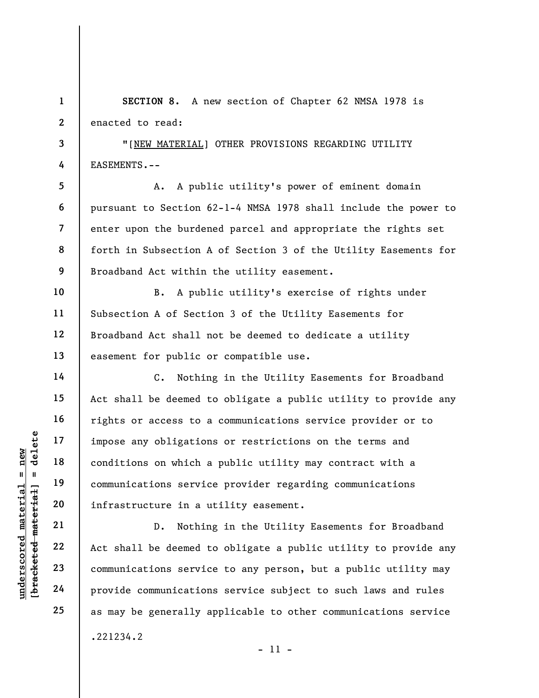1 2 SECTION 8. A new section of Chapter 62 NMSA 1978 is enacted to read:

"[NEW MATERIAL] OTHER PROVISIONS REGARDING UTILITY EASEMENTS.--

7 8 9 A. A public utility's power of eminent domain pursuant to Section 62-1-4 NMSA 1978 shall include the power to enter upon the burdened parcel and appropriate the rights set forth in Subsection A of Section 3 of the Utility Easements for Broadband Act within the utility easement.

B. A public utility's exercise of rights under Subsection A of Section 3 of the Utility Easements for Broadband Act shall not be deemed to dedicate a utility easement for public or compatible use.

underscored material = new [bracketed material] = delete C. Nothing in the Utility Easements for Broadband Act shall be deemed to obligate a public utility to provide any rights or access to a communications service provider or to impose any obligations or restrictions on the terms and conditions on which a public utility may contract with a communications service provider regarding communications infrastructure in a utility easement.

D. Nothing in the Utility Easements for Broadband Act shall be deemed to obligate a public utility to provide any communications service to any person, but a public utility may provide communications service subject to such laws and rules as may be generally applicable to other communications service .221234.2

3

4

5

6

10

11

12

13

14

15

16

17

18

19

20

21

22

23

24